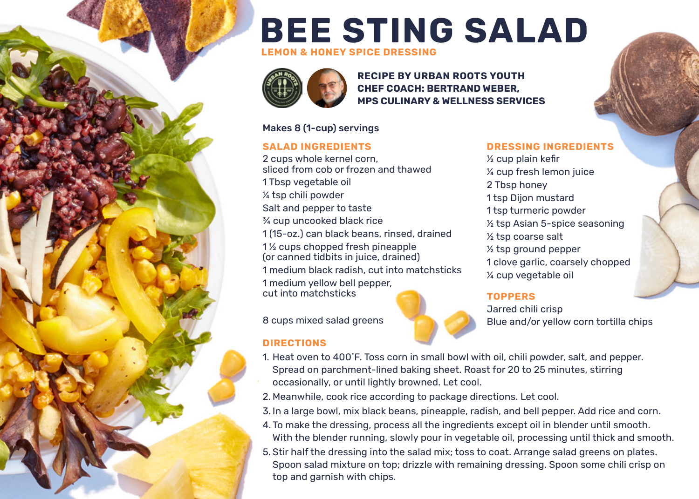# **BEE STING SALAD**

**LEMON & HONEY SPICE DRESSING**



**RECIPE BY URBAN ROOTS YOUTH CHEF COACH: BERTRAND WEBER, MPS CULINARY & WELLNESS SERVICES**

#### Makes 8 (1-cup) servings

#### **SALAD INGREDIENTS**

2 cups whole kernel corn, sliced from cob or frozen and thawed 1 Tbsp vegetable oil ¼ tsp chili powder Salt and pepper to taste ¾ cup uncooked black rice 1 (15-oz.) can black beans, rinsed, drained 1 ½ cups chopped fresh pineapple (or canned tidbits in juice, drained) 1 medium black radish, cut into matchsticks 1 medium yellow bell pepper,

cut into matchsticks

8 cups mixed salad greens

#### **DIRECTIONS**



**DRESSING INGREDIENTS** ½ cup plain kefir ¼ cup fresh lemon juice

- 2 Tbsp honey 1 tsp Dijon mustard
- 1 tsp turmeric powder
- ½ tsp Asian 5-spice seasoning
- ½ tsp coarse salt
- ½ tsp ground pepper
- 1 clove garlic, coarsely chopped ¼ cup vegetable oil

#### **TOPPERS**

Jarred chili crisp Blue and/or yellow corn tortilla chips

- 1. Heat oven to 400˚F. Toss corn in small bowl with oil, chili powder, salt, and pepper. Spread on parchment-lined baking sheet. Roast for 20 to 25 minutes, stirring occasionally, or until lightly browned. Let cool.
- 2. Meanwhile, cook rice according to package directions. Let cool.
- 3. In a large bowl, mix black beans, pineapple, radish, and bell pepper. Add rice and corn.
- 4. To make the dressing, process all the ingredients except oil in blender until smooth. With the blender running, slowly pour in vegetable oil, processing until thick and smooth.
- 5. Stir half the dressing into the salad mix; toss to coat. Arrange salad greens on plates. Spoon salad mixture on top; drizzle with remaining dressing. Spoon some chili crisp on top and garnish with chips.